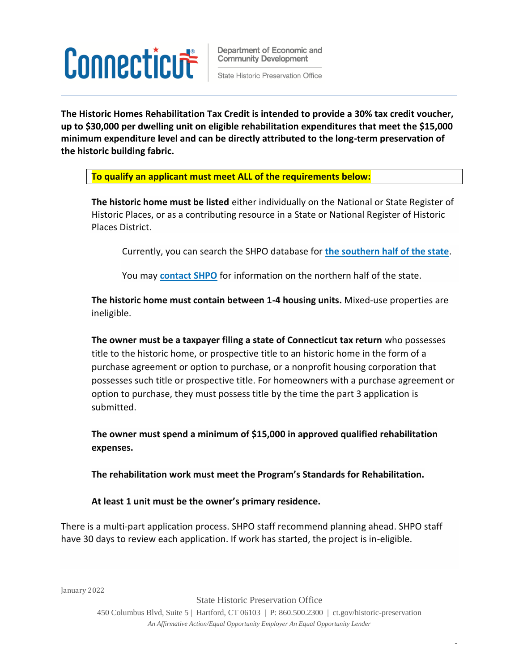Department of Economic and **Community Development** 

State Historic Preservation Office

**The Historic Homes Rehabilitation Tax Credit is intended to provide a 30% tax credit voucher, up to \$30,000 per dwelling unit on eligible rehabilitation expenditures that meet the \$15,000 minimum expenditure level and can be directly attributed to the long-term preservation of the historic building fabric.** 

**To qualify an applicant must meet ALL of the requirements below:**

**The historic home must be listed** either individually on the National or State Register of Historic Places, or as a contributing resource in a State or National Register of Historic Places District.

Currently, you can search the SHPO database for **[the southern half of the state](https://portal.ct.gov/DECD/Content/Historic-Preservation/03_Technical_Assistance_Research/Research/Historic-Property-Database)**.

You may **[contact SHPO](mailto:jennyscofield@ct.gov?subject=Historic%20Designation%20Inquiry)** for information on the northern half of the state.

**The historic home must contain between 1-4 housing units.** Mixed-use properties are ineligible.

**The owner must be a taxpayer filing a state of Connecticut tax return** who possesses title to the historic home, or prospective title to an historic home in the form of a purchase agreement or option to purchase, or a nonprofit housing corporation that possesses such title or prospective title. For homeowners with a purchase agreement or option to purchase, they must possess title by the time the part 3 application is submitted.

**The owner must spend a minimum of \$15,000 in approved qualified rehabilitation expenses.**

**The rehabilitation work must meet the Program's Standards for Rehabilitation.**

**At least 1 unit must be the owner's primary residence.**

There is a multi-part application process. SHPO staff recommend planning ahead. SHPO staff have 30 days to review each application. If work has started, the project is in-eligible.

January 2022

State Historic Preservation Office 450 Columbus Blvd, Suite 5 | Hartford, CT 06103 | P: 860.500.2300 | ct.gov/historic-preservation *An Affirmative Action/Equal Opportunity Employer An Equal Opportunity Lender*

..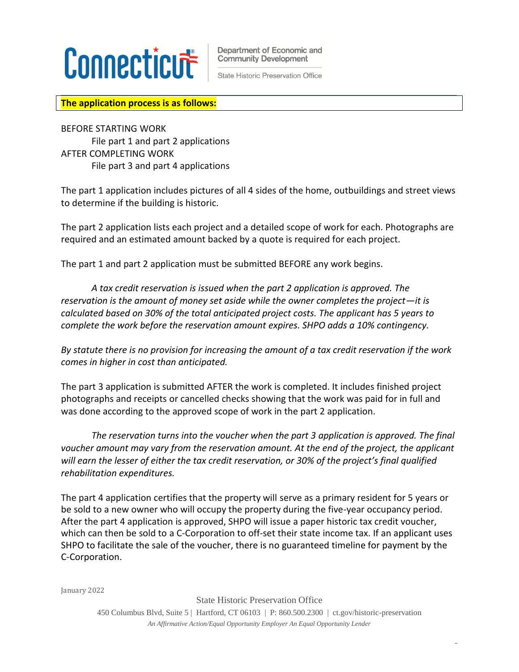Department of Economic and **Community Development** 

State Historic Preservation Office

### **The application process is as follows:**

BEFORE STARTING WORK File part 1 and part 2 applications AFTER COMPLETING WORK File part 3 and part 4 applications

The part 1 application includes pictures of all 4 sides of the home, outbuildings and street views to determine if the building is historic.

The part 2 application lists each project and a detailed scope of work for each. Photographs are required and an estimated amount backed by a quote is required for each project.

The part 1 and part 2 application must be submitted BEFORE any work begins.

*A tax credit reservation is issued when the part 2 application is approved. The reservation is the amount of money set aside while the owner completes the project—it is calculated based on 30% of the total anticipated project costs. The applicant has 5 years to complete the work before the reservation amount expires. SHPO adds a 10% contingency.* 

*By statute there is no provision for increasing the amount of a tax credit reservation if the work comes in higher in cost than anticipated.*

The part 3 application is submitted AFTER the work is completed. It includes finished project photographs and receipts or cancelled checks showing that the work was paid for in full and was done according to the approved scope of work in the part 2 application.

*The reservation turns into the voucher when the part 3 application is approved. The final voucher amount may vary from the reservation amount. At the end of the project, the applicant will earn the lesser of either the tax credit reservation, or 30% of the project's final qualified rehabilitation expenditures.*

The part 4 application certifies that the property will serve as a primary resident for 5 years or be sold to a new owner who will occupy the property during the five-year occupancy period. After the part 4 application is approved, SHPO will issue a paper historic tax credit voucher, which can then be sold to a C-Corporation to off-set their state income tax. If an applicant uses SHPO to facilitate the sale of the voucher, there is no guaranteed timeline for payment by the C-Corporation.

January 2022

State Historic Preservation Office 450 Columbus Blvd, Suite 5 | Hartford, CT 06103 | P: 860.500.2300 | ct.gov/historic-preservation *An Affirmative Action/Equal Opportunity Employer An Equal Opportunity Lender*

..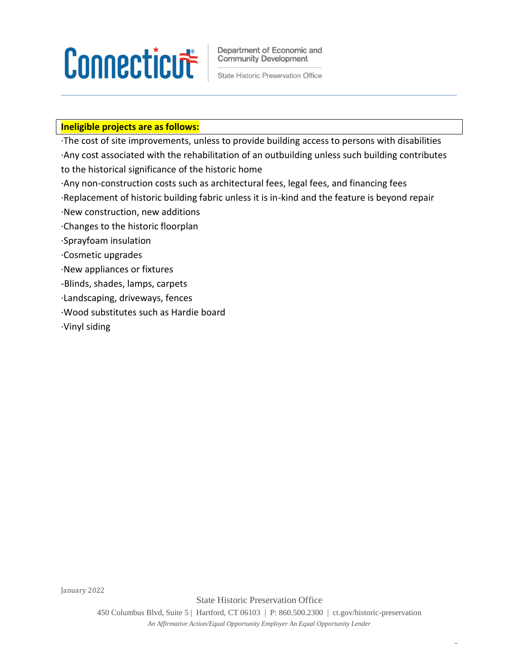Department of Economic and **Community Development** 

State Historic Preservation Office

### **Ineligible projects are as follows:**

·The cost of site improvements, unless to provide building access to persons with disabilities ·Any cost associated with the rehabilitation of an outbuilding unless such building contributes to the historical significance of the historic home ·Any non-construction costs such as architectural fees, legal fees, and financing fees ·Replacement of historic building fabric unless it is in-kind and the feature is beyond repair ·New construction, new additions ·Changes to the historic floorplan ·Sprayfoam insulation ·Cosmetic upgrades ·New appliances or fixtures -Blinds, shades, lamps, carpets ·Landscaping, driveways, fences ·Wood substitutes such as Hardie board

·Vinyl siding

January 2022

State Historic Preservation Office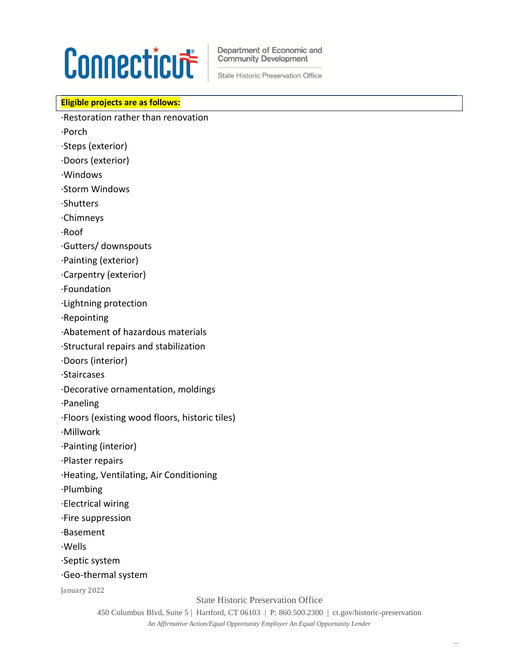Department of Economic and **Community Development** 

State Historic Preservation Office

#### **Eligible projects are as follows:**

·Restoration rather than renovation

·Porch

·Steps (exterior)

·Doors (exterior)

·Windows

·Storm Windows

·Shutters

·Chimneys

·Roof

·Gutters/ downspouts

·Painting (exterior)

·Carpentry (exterior)

·Foundation

·Lightning protection

·Repointing

·Abatement of hazardous materials

·Structural repairs and stabilization

·Doors (interior)

·Staircases

·Decorative ornamentation, moldings

·Paneling

·Floors (existing wood floors, historic tiles)

·Millwork

·Painting (interior)

·Plaster repairs

·Heating, Ventilating, Air Conditioning

·Plumbing

·Electrical wiring

·Fire suppression

·Basement

·Wells

·Septic system

·Geo-thermal system

January 2022

State Historic Preservation Office

450 Columbus Blvd, Suite 5 | Hartford, CT 06103 | P: 860.500.2300 | ct.gov/historic-preservation *An Affirmative Action/Equal Opportunity Employer An Equal Opportunity Lender*

..